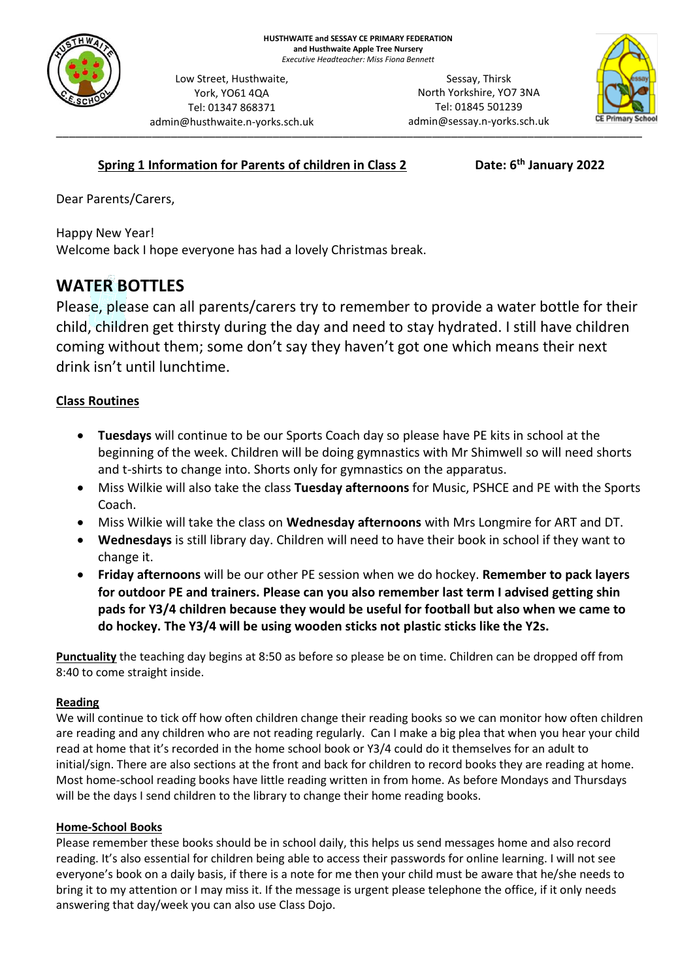

admin@husthwaite.n-yorks.sch.uk Sessay, Thirsk North Yorkshire, YO7 3NA Tel: 01845 501239 admin@sessay.n-yorks.sch.uk



## **Spring 1 Information for Parents of children in Class 2**

Low Street, Husthwaite, York, YO61 4QA Tel: 01347 868371

**th January 2022**

Dear Parents/Carers,

Happy New Year! Welcome back I hope everyone has had a lovely Christmas break.

# **WATER BOTTLES**

Please, please can all parents/carers try to remember to provide a water bottle for their child, children get thirsty during the day and need to stay hydrated. I still have children coming without them; some don't say they haven't got one which means their next drink isn't until lunchtime.

## **Class Routines**

- **Tuesdays** will continue to be our Sports Coach day so please have PE kits in school at the beginning of the week. Children will be doing gymnastics with Mr Shimwell so will need shorts and t-shirts to change into. Shorts only for gymnastics on the apparatus.
- Miss Wilkie will also take the class **Tuesday afternoons** for Music, PSHCE and PE with the Sports Coach.
- Miss Wilkie will take the class on **Wednesday afternoons** with Mrs Longmire for ART and DT.
- **Wednesdays** is still library day. Children will need to have their book in school if they want to change it.
- **Friday afternoons** will be our other PE session when we do hockey. **Remember to pack layers for outdoor PE and trainers. Please can you also remember last term I advised getting shin pads for Y3/4 children because they would be useful for football but also when we came to do hockey. The Y3/4 will be using wooden sticks not plastic sticks like the Y2s.**

**Punctuality** the teaching day begins at 8:50 as before so please be on time. Children can be dropped off from 8:40 to come straight inside.

#### **Reading**

We will continue to tick off how often children change their reading books so we can monitor how often children are reading and any children who are not reading regularly. Can I make a big plea that when you hear your child read at home that it's recorded in the home school book or Y3/4 could do it themselves for an adult to initial/sign. There are also sections at the front and back for children to record books they are reading at home. Most home-school reading books have little reading written in from home. As before Mondays and Thursdays will be the days I send children to the library to change their home reading books.

#### **Home-School Books**

Please remember these books should be in school daily, this helps us send messages home and also record reading. It's also essential for children being able to access their passwords for online learning. I will not see everyone's book on a daily basis, if there is a note for me then your child must be aware that he/she needs to bring it to my attention or I may miss it. If the message is urgent please telephone the office, if it only needs answering that day/week you can also use Class Dojo.